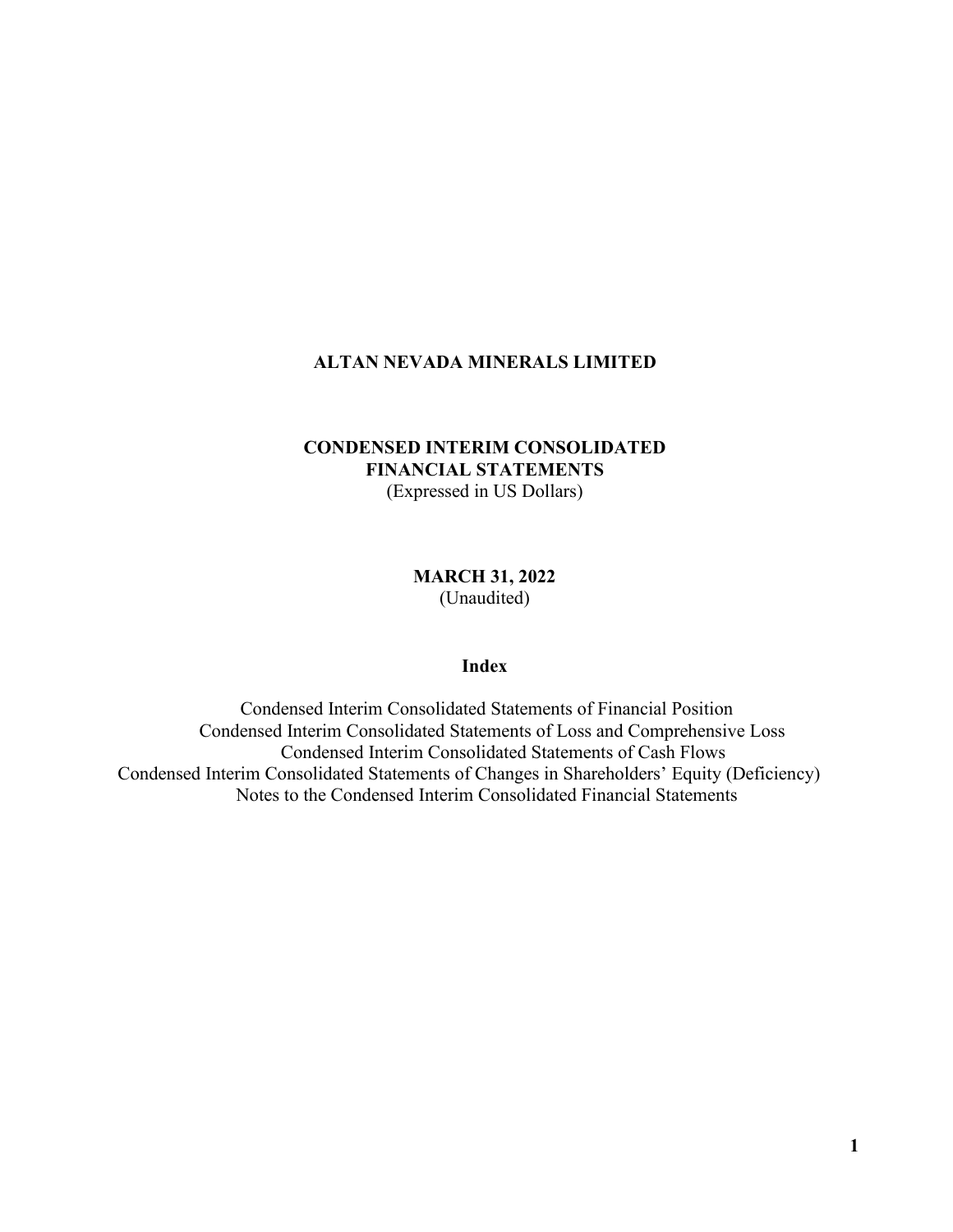# **CONDENSED INTERIM CONSOLIDATED FINANCIAL STATEMENTS** (Expressed in US Dollars)

**MARCH 31, 2022** (Unaudited)

# **Index**

Condensed Interim Consolidated Statements of Financial Position Condensed Interim Consolidated Statements of Loss and Comprehensive Loss Condensed Interim Consolidated Statements of Cash Flows Condensed Interim Consolidated Statements of Changes in Shareholders' Equity (Deficiency) Notes to the Condensed Interim Consolidated Financial Statements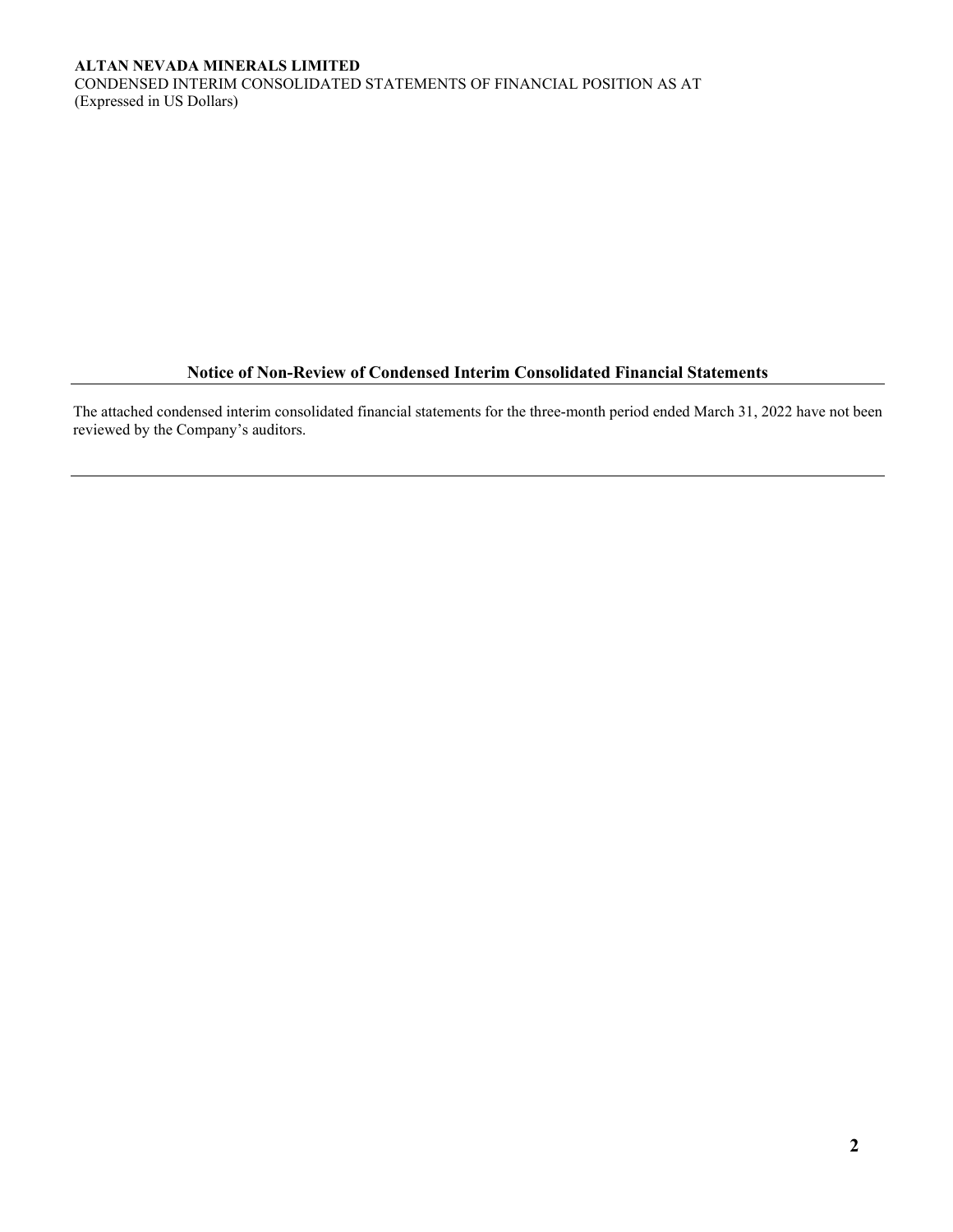CONDENSED INTERIM CONSOLIDATED STATEMENTS OF FINANCIAL POSITION AS AT (Expressed in US Dollars)

# **Notice of Non-Review of Condensed Interim Consolidated Financial Statements**

The attached condensed interim consolidated financial statements for the three-month period ended March 31, 2022 have not been reviewed by the Company's auditors.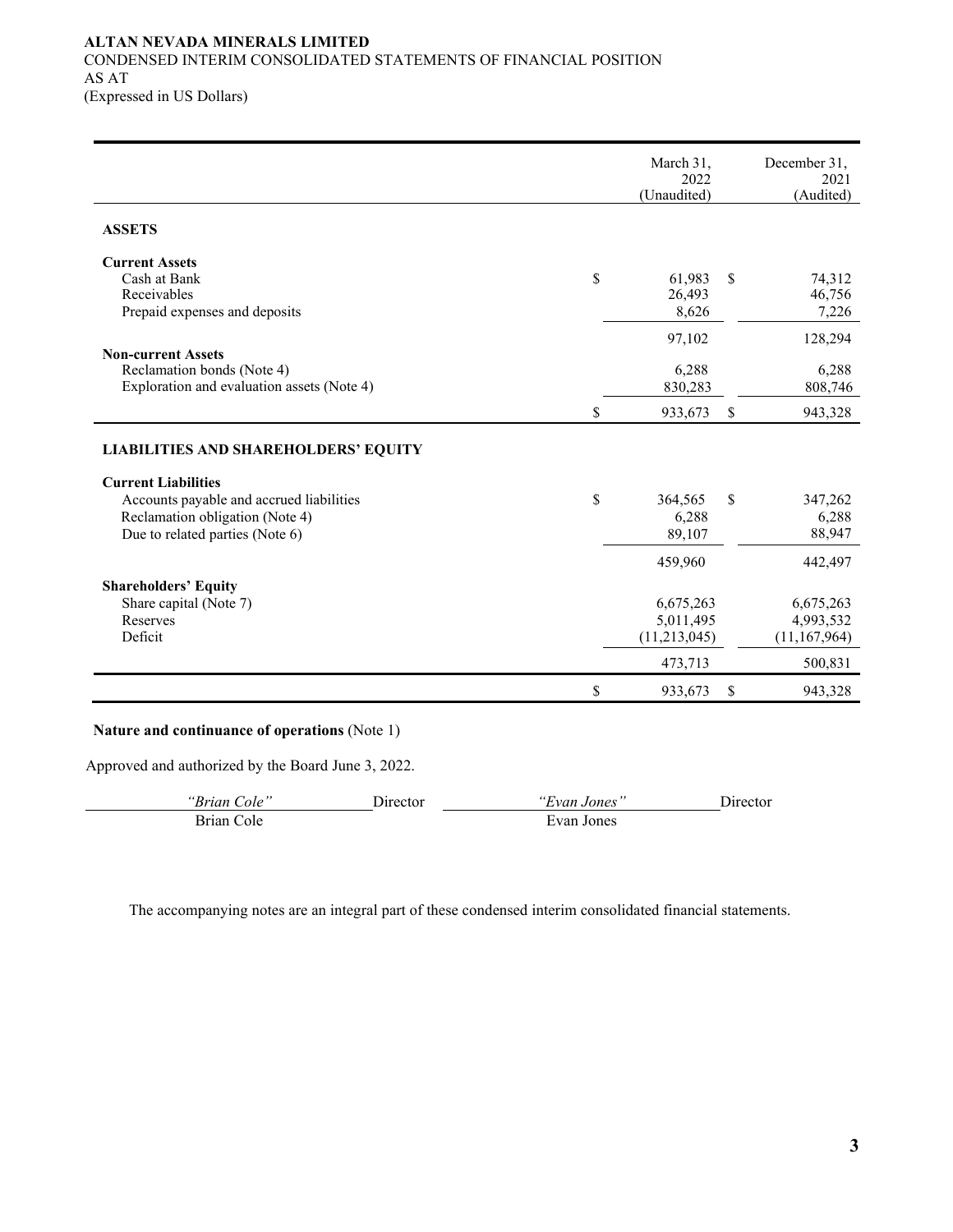## **ALTAN NEVADA MINERALS LIMITED** CONDENSED INTERIM CONSOLIDATED STATEMENTS OF FINANCIAL POSITION AS AT (Expressed in US Dollars)

|                                                                                                                                              | March 31,<br>2022<br>(Unaudited)       | December 31,<br>2021<br>(Audited)        |
|----------------------------------------------------------------------------------------------------------------------------------------------|----------------------------------------|------------------------------------------|
| <b>ASSETS</b>                                                                                                                                |                                        |                                          |
| <b>Current Assets</b><br>Cash at Bank<br>Receivables<br>Prepaid expenses and deposits                                                        | \$<br>61,983<br>26,493<br>8,626        | \$<br>74,312<br>46,756<br>7,226          |
| <b>Non-current Assets</b><br>Reclamation bonds (Note 4)<br>Exploration and evaluation assets (Note 4)                                        | 97,102<br>6,288<br>830,283             | 128,294<br>6,288<br>808,746              |
|                                                                                                                                              | \$<br>933,673                          | \$<br>943,328                            |
| <b>LIABILITIES AND SHAREHOLDERS' EQUITY</b>                                                                                                  |                                        |                                          |
| <b>Current Liabilities</b><br>Accounts payable and accrued liabilities<br>Reclamation obligation (Note 4)<br>Due to related parties (Note 6) | \$<br>364,565<br>6,288<br>89,107       | \$<br>347,262<br>6,288<br>88,947         |
|                                                                                                                                              | 459,960                                | 442,497                                  |
| <b>Shareholders' Equity</b><br>Share capital (Note 7)<br>Reserves<br>Deficit                                                                 | 6,675,263<br>5,011,495<br>(11,213,045) | 6,675,263<br>4,993,532<br>(11, 167, 964) |
|                                                                                                                                              | 473,713                                | 500,831                                  |
|                                                                                                                                              | \$<br>933,673                          | \$<br>943,328                            |

# **Nature and continuance of operations** (Note 1)

Approved and authorized by the Board June 3, 2022.

| "Brian Cole" | Jirector | "Evan Jones" | Jirector |
|--------------|----------|--------------|----------|
| Brian Cole   |          | Evan Jones   |          |

The accompanying notes are an integral part of these condensed interim consolidated financial statements.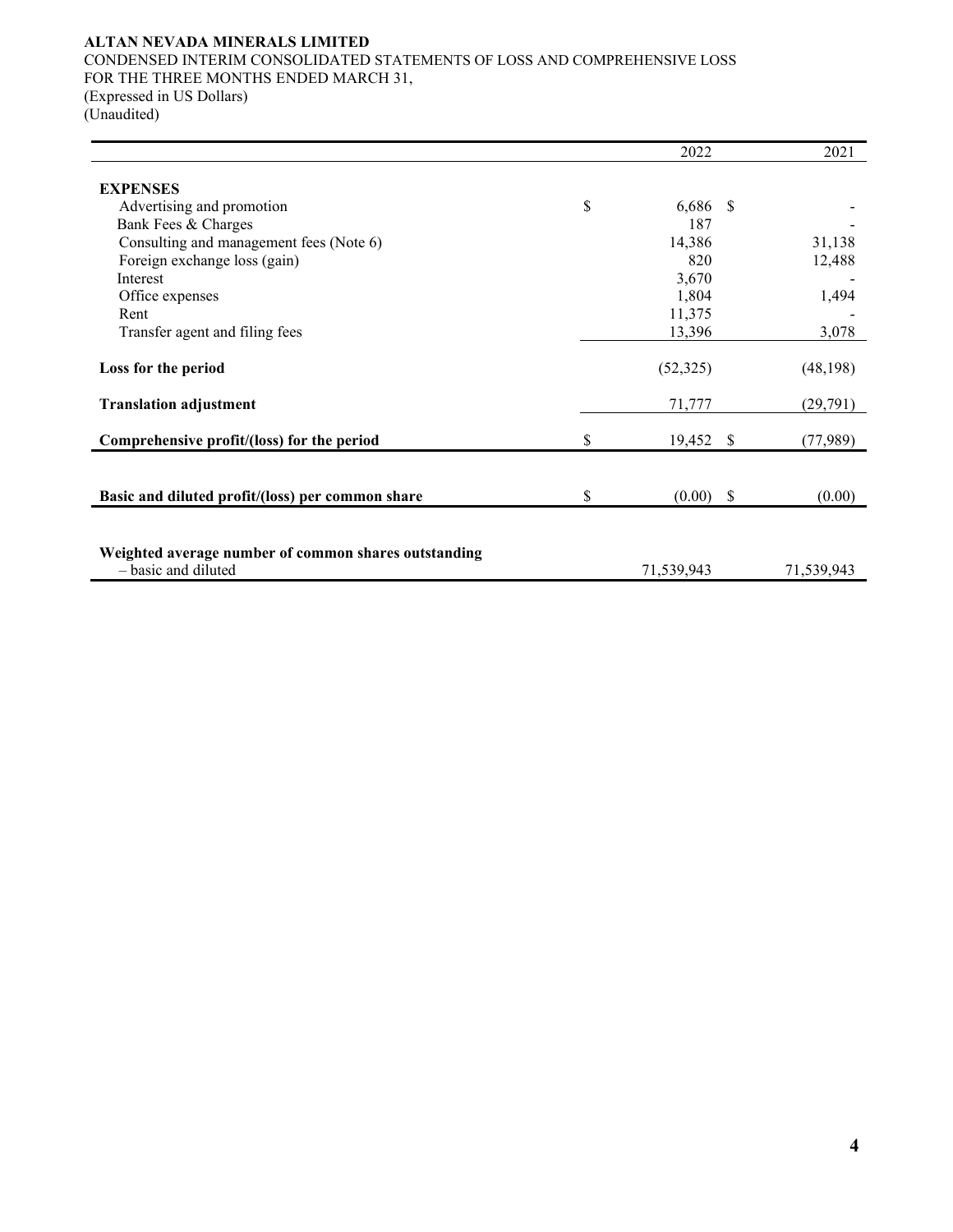CONDENSED INTERIM CONSOLIDATED STATEMENTS OF LOSS AND COMPREHENSIVE LOSS FOR THE THREE MONTHS ENDED MARCH 31, (Expressed in US Dollars) (Unaudited)

|                                                      | 2022         |               | 2021       |
|------------------------------------------------------|--------------|---------------|------------|
|                                                      |              |               |            |
| <b>EXPENSES</b>                                      |              |               |            |
| Advertising and promotion                            | \$<br>6,686  | <sup>\$</sup> |            |
| Bank Fees & Charges                                  | 187          |               |            |
| Consulting and management fees (Note 6)              | 14,386       |               | 31,138     |
| Foreign exchange loss (gain)                         | 820          |               | 12,488     |
| Interest                                             | 3,670        |               |            |
| Office expenses                                      | 1,804        |               | 1,494      |
| Rent                                                 | 11,375       |               |            |
| Transfer agent and filing fees                       | 13,396       |               | 3,078      |
|                                                      |              |               |            |
| Loss for the period                                  | (52, 325)    |               | (48, 198)  |
| <b>Translation adjustment</b>                        | 71,777       |               | (29,791)   |
| Comprehensive profit/(loss) for the period           | \$<br>19,452 | <sup>\$</sup> | (77,989)   |
|                                                      |              |               |            |
| Basic and diluted profit/(loss) per common share     | \$<br>(0.00) | - \$          | (0.00)     |
|                                                      |              |               |            |
|                                                      |              |               |            |
| Weighted average number of common shares outstanding |              |               |            |
| - basic and diluted                                  | 71,539,943   |               | 71,539,943 |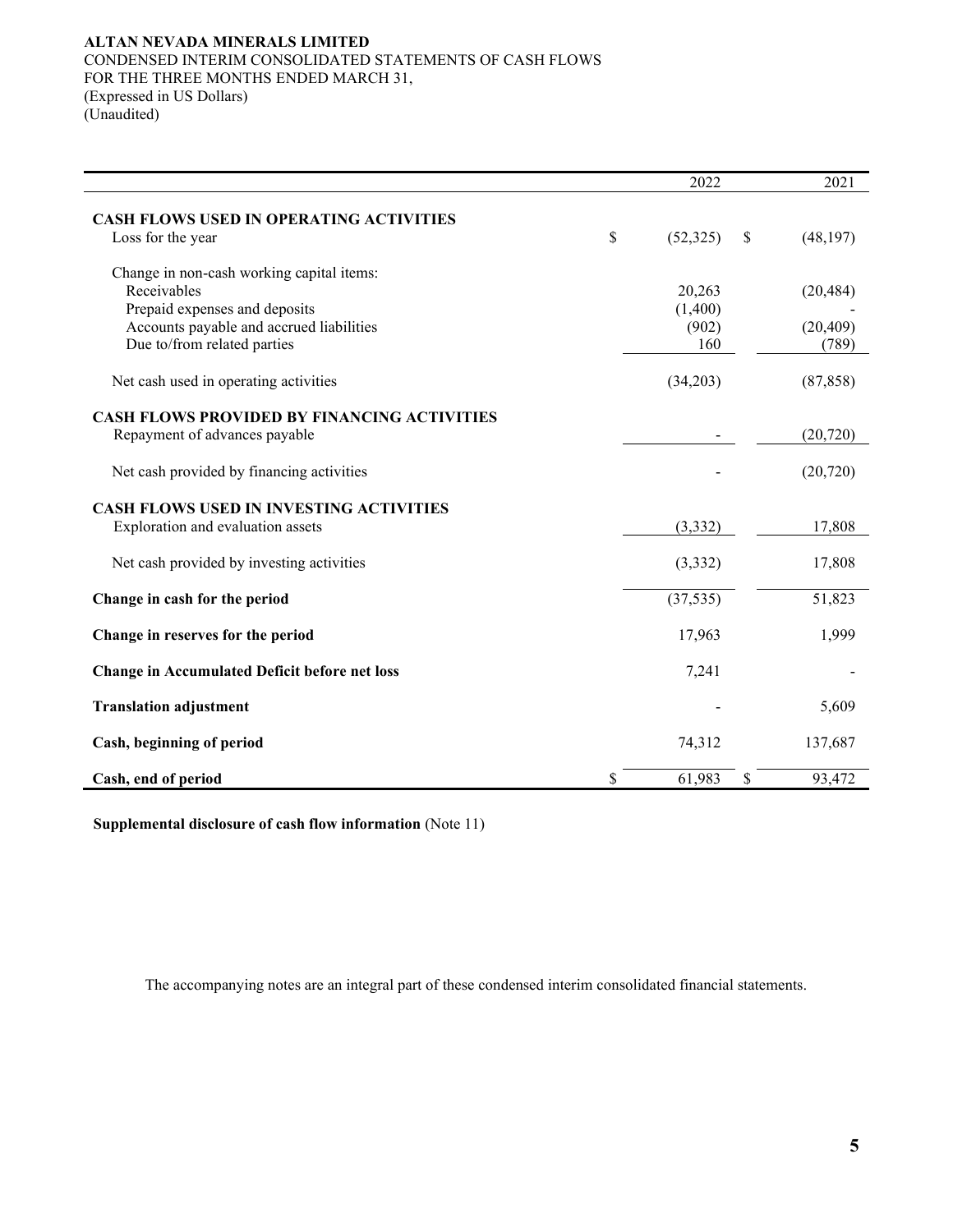## **ALTAN NEVADA MINERALS LIMITED** CONDENSED INTERIM CONSOLIDATED STATEMENTS OF CASH FLOWS FOR THE THREE MONTHS ENDED MARCH 31, (Expressed in US Dollars) (Unaudited)

| 2022            |                               | 2021      |
|-----------------|-------------------------------|-----------|
|                 |                               |           |
| \$<br>(52, 325) | \$                            | (48, 197) |
|                 |                               |           |
|                 |                               | (20, 484) |
| (1,400)         |                               |           |
| (902)           |                               | (20, 409) |
| 160             |                               | (789)     |
| (34,203)        |                               | (87, 858) |
|                 |                               |           |
|                 |                               | (20, 720) |
|                 |                               | (20, 720) |
|                 |                               |           |
|                 |                               |           |
| (3, 332)        |                               | 17,808    |
| (3, 332)        |                               | 17,808    |
|                 |                               | 51,823    |
|                 |                               |           |
| 17,963          |                               | 1,999     |
| 7,241           |                               |           |
|                 |                               | 5,609     |
| 74,312          |                               | 137,687   |
| \$              | \$                            | 93,472    |
|                 | 20,263<br>(37, 535)<br>61,983 |           |

**Supplemental disclosure of cash flow information** (Note 11)

The accompanying notes are an integral part of these condensed interim consolidated financial statements.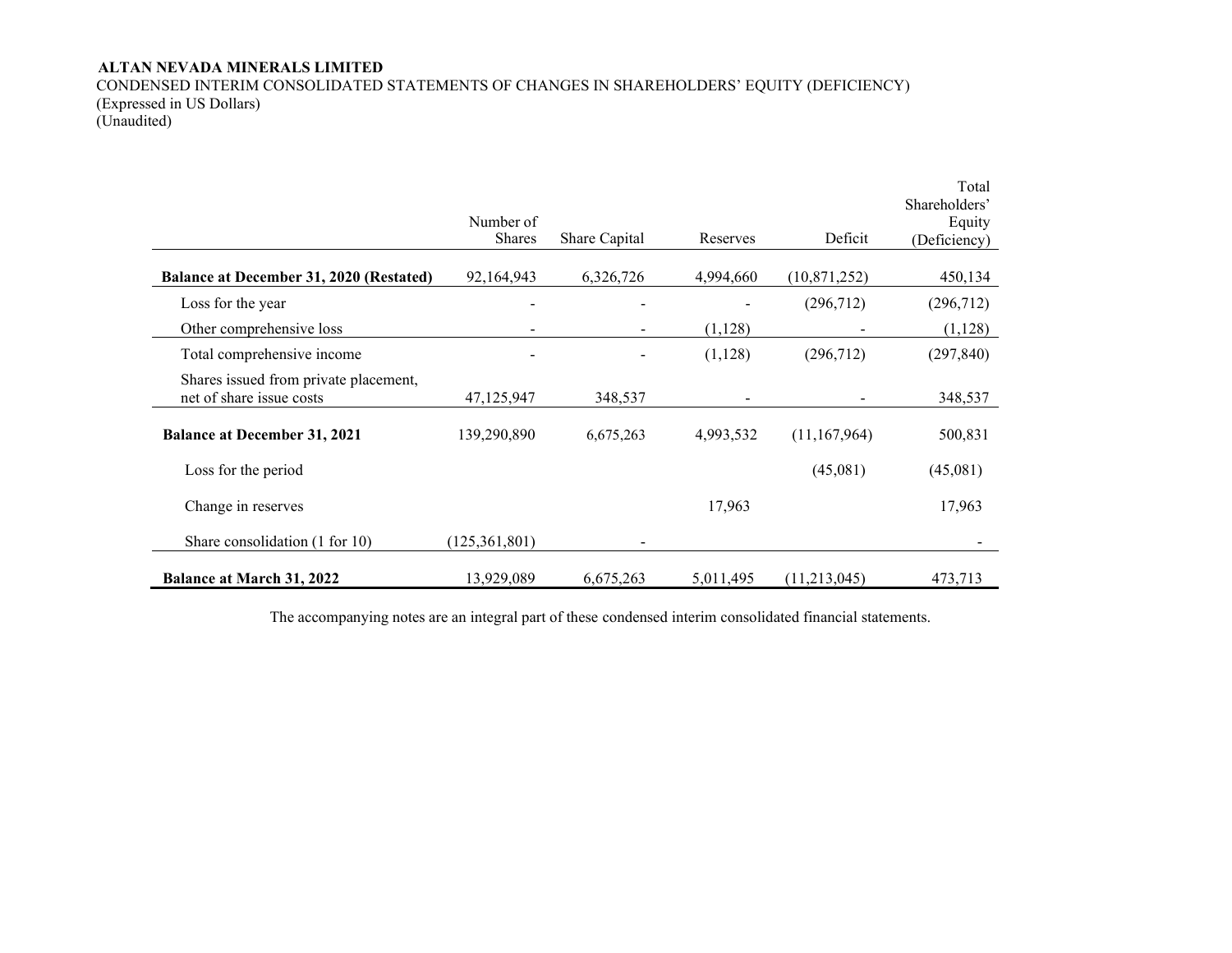CONDENSED INTERIM CONSOLIDATED STATEMENTS OF CHANGES IN SHAREHOLDERS' EQUITY (DEFICIENCY) (Expressed in US Dollars) (Unaudited)

|                                                                   | Number of<br><b>Shares</b> | Share Capital | Reserves  | Deficit        | Total<br>Shareholders'<br>Equity<br>(Deficiency) |
|-------------------------------------------------------------------|----------------------------|---------------|-----------|----------------|--------------------------------------------------|
| Balance at December 31, 2020 (Restated)                           | 92,164,943                 | 6,326,726     | 4,994,660 | (10,871,252)   | 450,134                                          |
| Loss for the year                                                 |                            |               |           | (296,712)      | (296,712)                                        |
| Other comprehensive loss                                          |                            |               | (1,128)   |                | (1,128)                                          |
| Total comprehensive income                                        |                            |               | (1,128)   | (296,712)      | (297, 840)                                       |
| Shares issued from private placement,<br>net of share issue costs | 47,125,947                 | 348,537       |           |                | 348,537                                          |
| <b>Balance at December 31, 2021</b>                               | 139,290,890                | 6,675,263     | 4,993,532 | (11, 167, 964) | 500,831                                          |
| Loss for the period                                               |                            |               |           | (45,081)       | (45,081)                                         |
| Change in reserves                                                |                            |               | 17,963    |                | 17,963                                           |
| Share consolidation (1 for 10)                                    | (125, 361, 801)            |               |           |                |                                                  |
| <b>Balance at March 31, 2022</b>                                  | 13,929,089                 | 6,675,263     | 5,011,495 | (11,213,045)   | 473,713                                          |

The accompanying notes are an integral part of these condensed interim consolidated financial statements.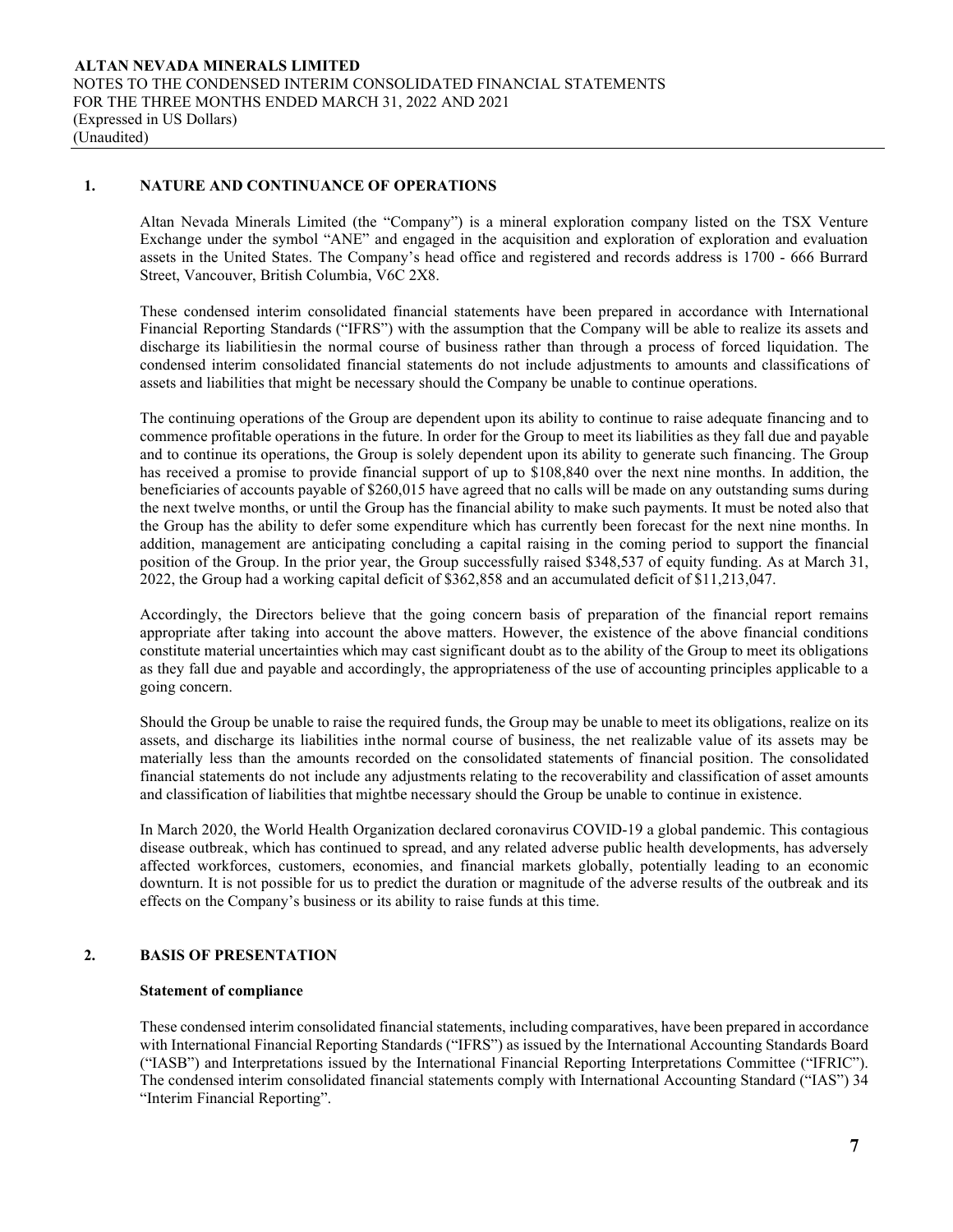### **1. NATURE AND CONTINUANCE OF OPERATIONS**

Altan Nevada Minerals Limited (the "Company") is a mineral exploration company listed on the TSX Venture Exchange under the symbol "ANE" and engaged in the acquisition and exploration of exploration and evaluation assets in the United States. The Company's head office and registered and records address is 1700 - 666 Burrard Street, Vancouver, British Columbia, V6C 2X8.

These condensed interim consolidated financial statements have been prepared in accordance with International Financial Reporting Standards ("IFRS") with the assumption that the Company will be able to realize its assets and discharge its liabilitiesin the normal course of business rather than through a process of forced liquidation. The condensed interim consolidated financial statements do not include adjustments to amounts and classifications of assets and liabilities that might be necessary should the Company be unable to continue operations.

The continuing operations of the Group are dependent upon its ability to continue to raise adequate financing and to commence profitable operations in the future. In order for the Group to meet its liabilities as they fall due and payable and to continue its operations, the Group is solely dependent upon its ability to generate such financing. The Group has received a promise to provide financial support of up to \$108,840 over the next nine months. In addition, the beneficiaries of accounts payable of \$260,015 have agreed that no calls will be made on any outstanding sums during the next twelve months, or until the Group has the financial ability to make such payments. It must be noted also that the Group has the ability to defer some expenditure which has currently been forecast for the next nine months. In addition, management are anticipating concluding a capital raising in the coming period to support the financial position of the Group. In the prior year, the Group successfully raised \$348,537 of equity funding. As at March 31, 2022, the Group had a working capital deficit of \$362,858 and an accumulated deficit of \$11,213,047.

Accordingly, the Directors believe that the going concern basis of preparation of the financial report remains appropriate after taking into account the above matters. However, the existence of the above financial conditions constitute material uncertainties which may cast significant doubt as to the ability of the Group to meet its obligations as they fall due and payable and accordingly, the appropriateness of the use of accounting principles applicable to a going concern.

Should the Group be unable to raise the required funds, the Group may be unable to meet its obligations, realize on its assets, and discharge its liabilities inthe normal course of business, the net realizable value of its assets may be materially less than the amounts recorded on the consolidated statements of financial position. The consolidated financial statements do not include any adjustments relating to the recoverability and classification of asset amounts and classification of liabilities that mightbe necessary should the Group be unable to continue in existence.

In March 2020, the World Health Organization declared coronavirus COVID-19 a global pandemic. This contagious disease outbreak, which has continued to spread, and any related adverse public health developments, has adversely affected workforces, customers, economies, and financial markets globally, potentially leading to an economic downturn. It is not possible for us to predict the duration or magnitude of the adverse results of the outbreak and its effects on the Company's business or its ability to raise funds at this time.

# **2. BASIS OF PRESENTATION**

#### **Statement of compliance**

These condensed interim consolidated financial statements, including comparatives, have been prepared in accordance with International Financial Reporting Standards ("IFRS") as issued by the International Accounting Standards Board ("IASB") and Interpretations issued by the International Financial Reporting Interpretations Committee ("IFRIC"). The condensed interim consolidated financial statements comply with International Accounting Standard ("IAS") 34 "Interim Financial Reporting".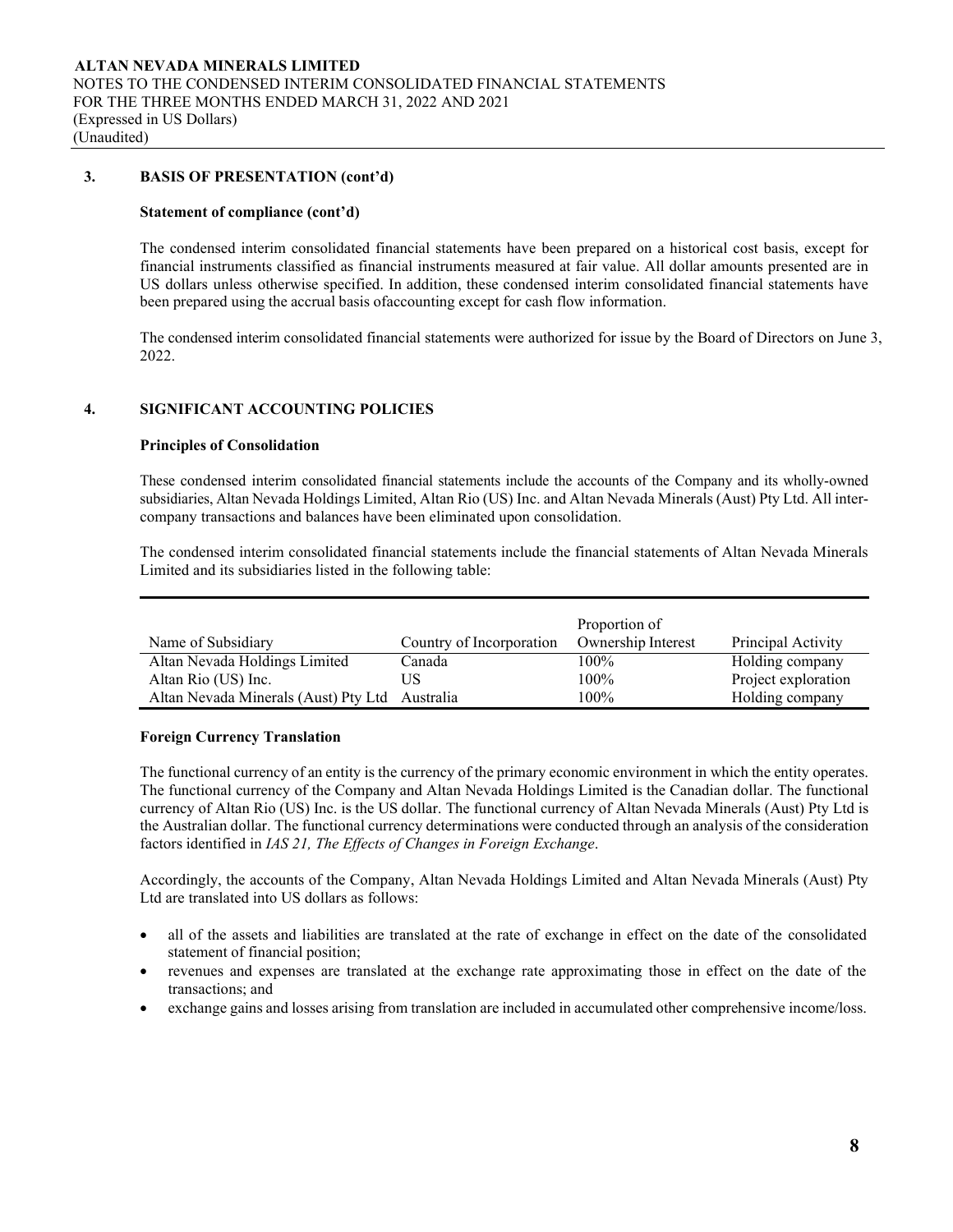# **3. BASIS OF PRESENTATION (cont'd)**

#### **Statement of compliance (cont'd)**

The condensed interim consolidated financial statements have been prepared on a historical cost basis, except for financial instruments classified as financial instruments measured at fair value. All dollar amounts presented are in US dollars unless otherwise specified. In addition, these condensed interim consolidated financial statements have been prepared using the accrual basis ofaccounting except for cash flow information.

The condensed interim consolidated financial statements were authorized for issue by the Board of Directors on June 3, 2022.

## **4. SIGNIFICANT ACCOUNTING POLICIES**

#### **Principles of Consolidation**

These condensed interim consolidated financial statements include the accounts of the Company and its wholly-owned subsidiaries, Altan Nevada Holdings Limited, Altan Rio (US) Inc. and Altan Nevada Minerals (Aust) Pty Ltd. All intercompany transactions and balances have been eliminated upon consolidation.

The condensed interim consolidated financial statements include the financial statements of Altan Nevada Minerals Limited and its subsidiaries listed in the following table:

|                                                |                          | Proportion of      |                     |
|------------------------------------------------|--------------------------|--------------------|---------------------|
| Name of Subsidiary                             | Country of Incorporation | Ownership Interest | Principal Activity  |
| Altan Nevada Holdings Limited                  | Canada                   | 100%               | Holding company     |
| Altan Rio (US) Inc.                            | US                       | 100%               | Project exploration |
| Altan Nevada Minerals (Aust) Pty Ltd Australia |                          | 100%               | Holding company     |

#### **Foreign Currency Translation**

The functional currency of an entity is the currency of the primary economic environment in which the entity operates. The functional currency of the Company and Altan Nevada Holdings Limited is the Canadian dollar. The functional currency of Altan Rio (US) Inc. is the US dollar. The functional currency of Altan Nevada Minerals (Aust) Pty Ltd is the Australian dollar. The functional currency determinations were conducted through an analysis of the consideration factors identified in *IAS 21, The Effects of Changes in Foreign Exchange*.

Accordingly, the accounts of the Company, Altan Nevada Holdings Limited and Altan Nevada Minerals (Aust) Pty Ltd are translated into US dollars as follows:

- all of the assets and liabilities are translated at the rate of exchange in effect on the date of the consolidated statement of financial position;
- revenues and expenses are translated at the exchange rate approximating those in effect on the date of the transactions; and
- exchange gains and losses arising from translation are included in accumulated other comprehensive income/loss.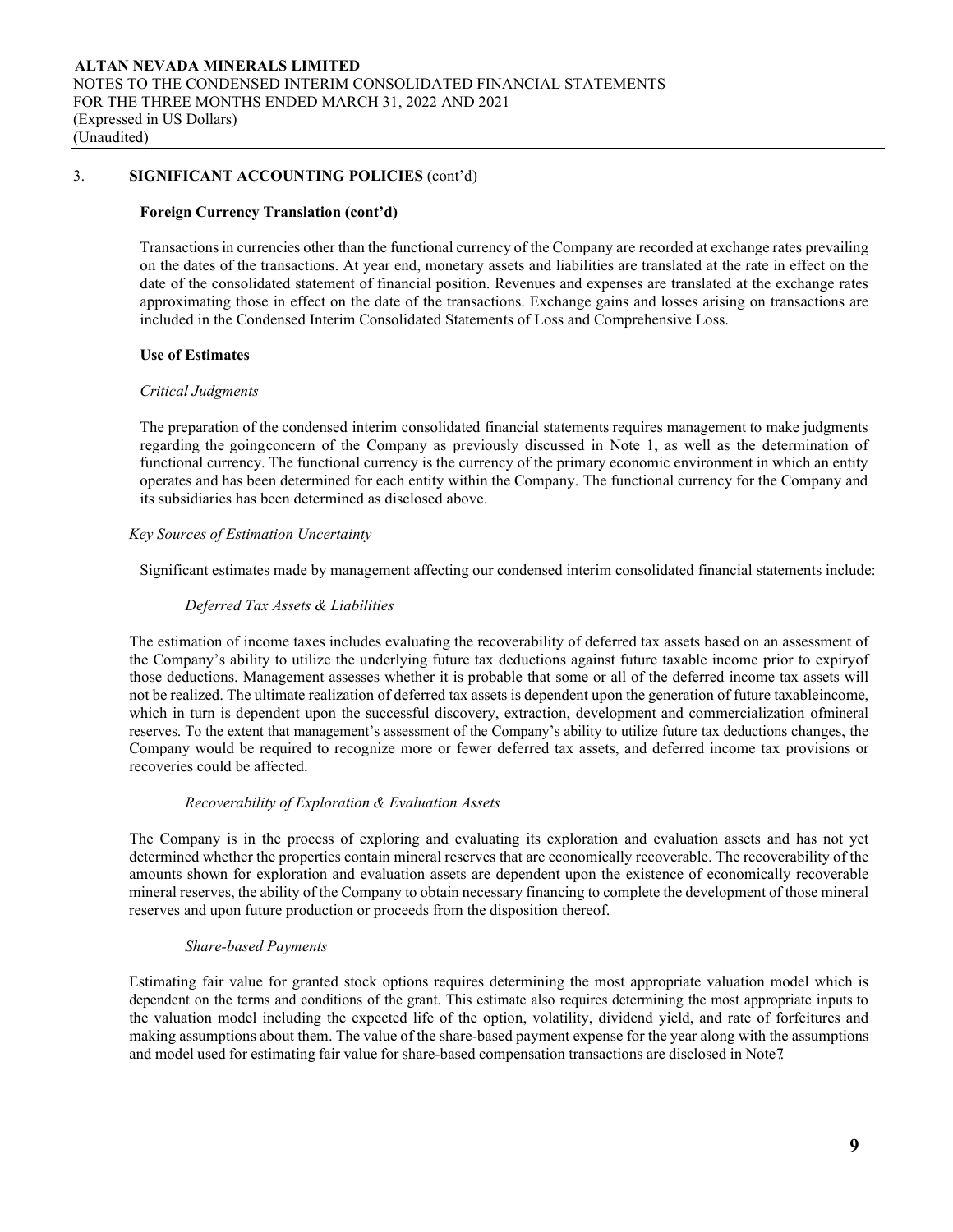## **Foreign Currency Translation (cont'd)**

Transactions in currencies other than the functional currency of the Company are recorded at exchange rates prevailing on the dates of the transactions. At year end, monetary assets and liabilities are translated at the rate in effect on the date of the consolidated statement of financial position. Revenues and expenses are translated at the exchange rates approximating those in effect on the date of the transactions. Exchange gains and losses arising on transactions are included in the Condensed Interim Consolidated Statements of Loss and Comprehensive Loss.

# **Use of Estimates**

#### *Critical Judgments*

The preparation of the condensed interim consolidated financial statements requires management to make judgments regarding the goingconcern of the Company as previously discussed in Note 1, as well as the determination of functional currency. The functional currency is the currency of the primary economic environment in which an entity operates and has been determined for each entity within the Company. The functional currency for the Company and its subsidiaries has been determined as disclosed above.

## *Key Sources of Estimation Uncertainty*

Significant estimates made by management affecting our condensed interim consolidated financial statements include:

## *Deferred Tax Assets & Liabilities*

The estimation of income taxes includes evaluating the recoverability of deferred tax assets based on an assessment of the Company's ability to utilize the underlying future tax deductions against future taxable income prior to expiryof those deductions. Management assesses whether it is probable that some or all of the deferred income tax assets will not be realized. The ultimate realization of deferred tax assets is dependent upon the generation of future taxableincome, which in turn is dependent upon the successful discovery, extraction, development and commercialization ofmineral reserves. To the extent that management's assessment of the Company's ability to utilize future tax deductions changes, the Company would be required to recognize more or fewer deferred tax assets, and deferred income tax provisions or recoveries could be affected.

# *Recoverability of Exploration & Evaluation Assets*

The Company is in the process of exploring and evaluating its exploration and evaluation assets and has not yet determined whether the properties contain mineral reserves that are economically recoverable. The recoverability of the amounts shown for exploration and evaluation assets are dependent upon the existence of economically recoverable mineral reserves, the ability of the Company to obtain necessary financing to complete the development of those mineral reserves and upon future production or proceeds from the disposition thereof.

# *Share-based Payments*

Estimating fair value for granted stock options requires determining the most appropriate valuation model which is dependent on the terms and conditions of the grant. This estimate also requires determining the most appropriate inputs to the valuation model including the expected life of the option, volatility, dividend yield, and rate of forfeitures and making assumptions about them. The value of the share-based payment expense for the year along with the assumptions and model used for estimating fair value for share-based compensation transactions are disclosed in Note7.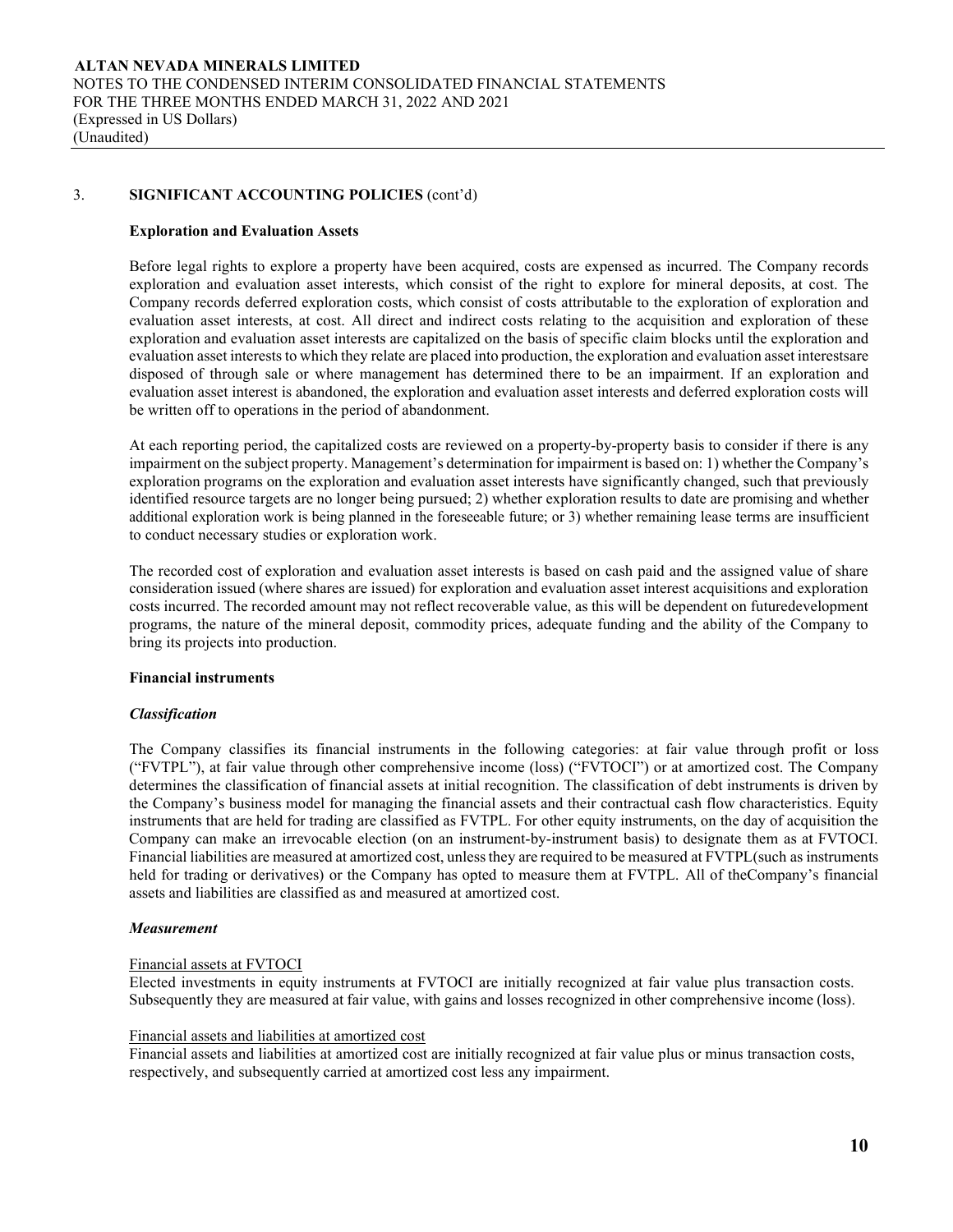## **Exploration and Evaluation Assets**

Before legal rights to explore a property have been acquired, costs are expensed as incurred. The Company records exploration and evaluation asset interests, which consist of the right to explore for mineral deposits, at cost. The Company records deferred exploration costs, which consist of costs attributable to the exploration of exploration and evaluation asset interests, at cost. All direct and indirect costs relating to the acquisition and exploration of these exploration and evaluation asset interests are capitalized on the basis of specific claim blocks until the exploration and evaluation asset intereststo which they relate are placed into production, the exploration and evaluation asset interestsare disposed of through sale or where management has determined there to be an impairment. If an exploration and evaluation asset interest is abandoned, the exploration and evaluation asset interests and deferred exploration costs will be written off to operations in the period of abandonment.

At each reporting period, the capitalized costs are reviewed on a property-by-property basis to consider if there is any impairment on the subject property. Management's determination for impairment is based on: 1) whether the Company's exploration programs on the exploration and evaluation asset interests have significantly changed, such that previously identified resource targets are no longer being pursued; 2) whether exploration results to date are promising and whether additional exploration work is being planned in the foreseeable future; or 3) whether remaining lease terms are insufficient to conduct necessary studies or exploration work.

The recorded cost of exploration and evaluation asset interests is based on cash paid and the assigned value of share consideration issued (where shares are issued) for exploration and evaluation asset interest acquisitions and exploration costs incurred. The recorded amount may not reflect recoverable value, as this will be dependent on futuredevelopment programs, the nature of the mineral deposit, commodity prices, adequate funding and the ability of the Company to bring its projects into production.

#### **Financial instruments**

# *Classification*

The Company classifies its financial instruments in the following categories: at fair value through profit or loss ("FVTPL"), at fair value through other comprehensive income (loss) ("FVTOCI") or at amortized cost. The Company determines the classification of financial assets at initial recognition. The classification of debt instruments is driven by the Company's business model for managing the financial assets and their contractual cash flow characteristics. Equity instruments that are held for trading are classified as FVTPL. For other equity instruments, on the day of acquisition the Company can make an irrevocable election (on an instrument-by-instrument basis) to designate them as at FVTOCI. Financial liabilities are measured at amortized cost, unlessthey are required to be measured at FVTPL(such as instruments held for trading or derivatives) or the Company has opted to measure them at FVTPL. All of theCompany's financial assets and liabilities are classified as and measured at amortized cost.

#### *Measurement*

#### Financial assets at FVTOCI

Elected investments in equity instruments at FVTOCI are initially recognized at fair value plus transaction costs. Subsequently they are measured at fair value, with gains and losses recognized in other comprehensive income (loss).

#### Financial assets and liabilities at amortized cost

Financial assets and liabilities at amortized cost are initially recognized at fair value plus or minus transaction costs, respectively, and subsequently carried at amortized cost less any impairment.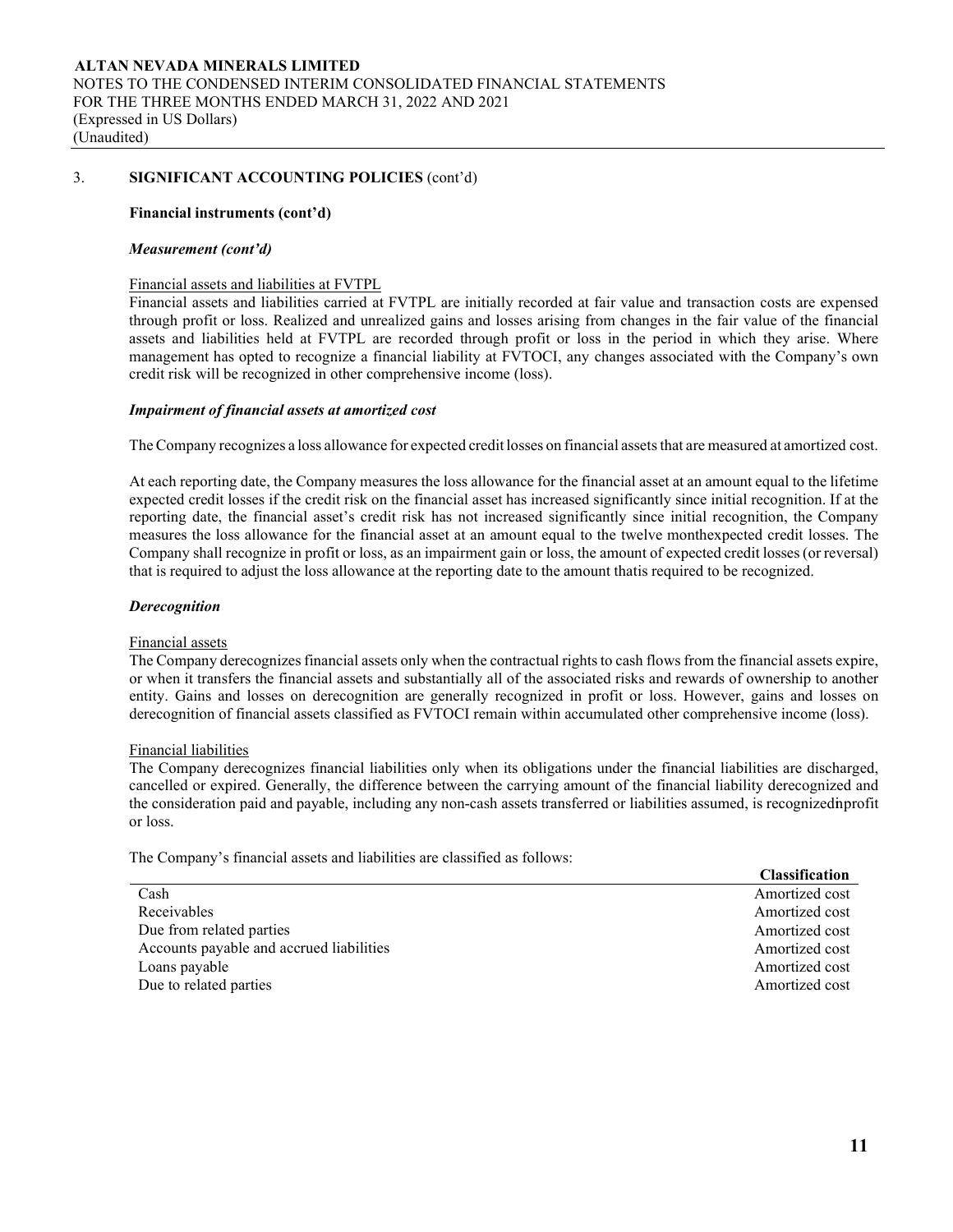## **Financial instruments (cont'd)**

#### *Measurement (cont'd)*

## Financial assets and liabilities at FVTPL

Financial assets and liabilities carried at FVTPL are initially recorded at fair value and transaction costs are expensed through profit or loss. Realized and unrealized gains and losses arising from changes in the fair value of the financial assets and liabilities held at FVTPL are recorded through profit or loss in the period in which they arise. Where management has opted to recognize a financial liability at FVTOCI, any changes associated with the Company's own credit risk will be recognized in other comprehensive income (loss).

## *Impairment of financial assets at amortized cost*

The Company recognizes a loss allowance for expected credit losses on financial assets that are measured at amortized cost.

At each reporting date, the Company measures the loss allowance for the financial asset at an amount equal to the lifetime expected credit losses if the credit risk on the financial asset has increased significantly since initial recognition. If at the reporting date, the financial asset's credit risk has not increased significantly since initial recognition, the Company measures the loss allowance for the financial asset at an amount equal to the twelve monthexpected credit losses. The Company shall recognize in profit or loss, as an impairment gain or loss, the amount of expected credit losses(or reversal) that is required to adjust the loss allowance at the reporting date to the amount thatis required to be recognized.

## *Derecognition*

#### Financial assets

The Company derecognizes financial assets only when the contractual rights to cash flows from the financial assets expire, or when it transfers the financial assets and substantially all of the associated risks and rewards of ownership to another entity. Gains and losses on derecognition are generally recognized in profit or loss. However, gains and losses on derecognition of financial assets classified as FVTOCI remain within accumulated other comprehensive income (loss).

#### Financial liabilities

The Company derecognizes financial liabilities only when its obligations under the financial liabilities are discharged, cancelled or expired. Generally, the difference between the carrying amount of the financial liability derecognized and the consideration paid and payable, including any non-cash assets transferred or liabilities assumed, is recognizedinprofit or loss.

The Company's financial assets and liabilities are classified as follows:

|                                          | Стаззнічання   |
|------------------------------------------|----------------|
| Cash                                     | Amortized cost |
| Receivables                              | Amortized cost |
| Due from related parties                 | Amortized cost |
| Accounts payable and accrued liabilities | Amortized cost |
| Loans payable                            | Amortized cost |
| Due to related parties                   | Amortized cost |

**Classification**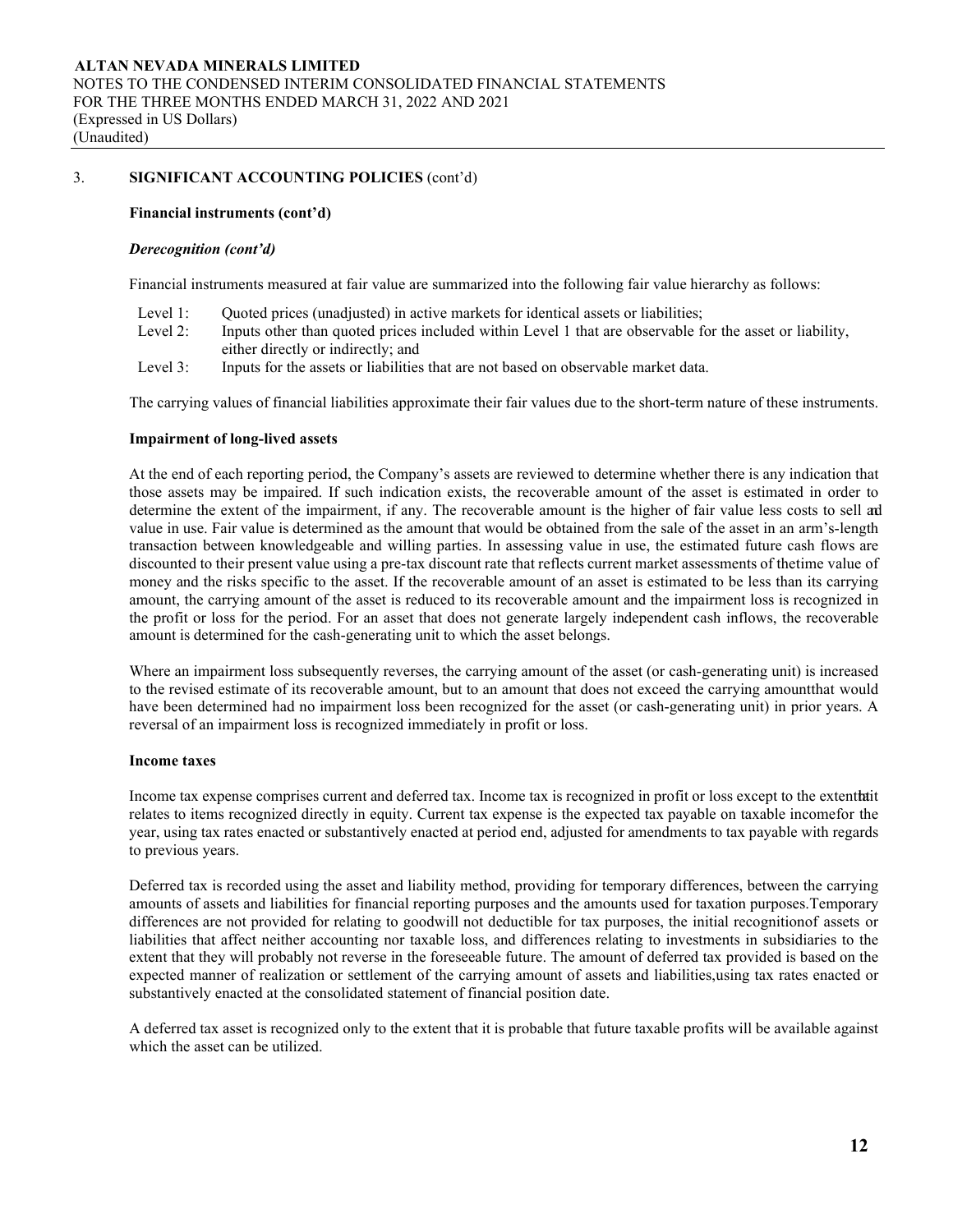## **Financial instruments (cont'd)**

## *Derecognition (cont'd)*

Financial instruments measured at fair value are summarized into the following fair value hierarchy as follows:

- Level 1: Quoted prices (unadjusted) in active markets for identical assets or liabilities;
- Level 2: Inputs other than quoted prices included within Level 1 that are observable for the asset or liability, either directly or indirectly; and
- Level 3: Inputs for the assets or liabilities that are not based on observable market data.

The carrying values of financial liabilities approximate their fair values due to the short-term nature of these instruments.

#### **Impairment of long-lived assets**

At the end of each reporting period, the Company's assets are reviewed to determine whether there is any indication that those assets may be impaired. If such indication exists, the recoverable amount of the asset is estimated in order to determine the extent of the impairment, if any. The recoverable amount is the higher of fair value less costs to sell and value in use. Fair value is determined as the amount that would be obtained from the sale of the asset in an arm's-length transaction between knowledgeable and willing parties. In assessing value in use, the estimated future cash flows are discounted to their present value using a pre-tax discount rate that reflects current market assessments of thetime value of money and the risks specific to the asset. If the recoverable amount of an asset is estimated to be less than its carrying amount, the carrying amount of the asset is reduced to its recoverable amount and the impairment loss is recognized in the profit or loss for the period. For an asset that does not generate largely independent cash inflows, the recoverable amount is determined for the cash-generating unit to which the asset belongs.

Where an impairment loss subsequently reverses, the carrying amount of the asset (or cash-generating unit) is increased to the revised estimate of its recoverable amount, but to an amount that does not exceed the carrying amountthat would have been determined had no impairment loss been recognized for the asset (or cash-generating unit) in prior years. A reversal of an impairment loss is recognized immediately in profit or loss.

# **Income taxes**

Income tax expense comprises current and deferred tax. Income tax is recognized in profit or loss except to the extentthatit relates to items recognized directly in equity. Current tax expense is the expected tax payable on taxable incomefor the year, using tax rates enacted or substantively enacted at period end, adjusted for amendments to tax payable with regards to previous years.

Deferred tax is recorded using the asset and liability method, providing for temporary differences, between the carrying amounts of assets and liabilities for financial reporting purposes and the amounts used for taxation purposes.Temporary differences are not provided for relating to goodwill not deductible for tax purposes, the initial recognitionof assets or liabilities that affect neither accounting nor taxable loss, and differences relating to investments in subsidiaries to the extent that they will probably not reverse in the foreseeable future. The amount of deferred tax provided is based on the expected manner of realization or settlement of the carrying amount of assets and liabilities,using tax rates enacted or substantively enacted at the consolidated statement of financial position date.

A deferred tax asset is recognized only to the extent that it is probable that future taxable profits will be available against which the asset can be utilized.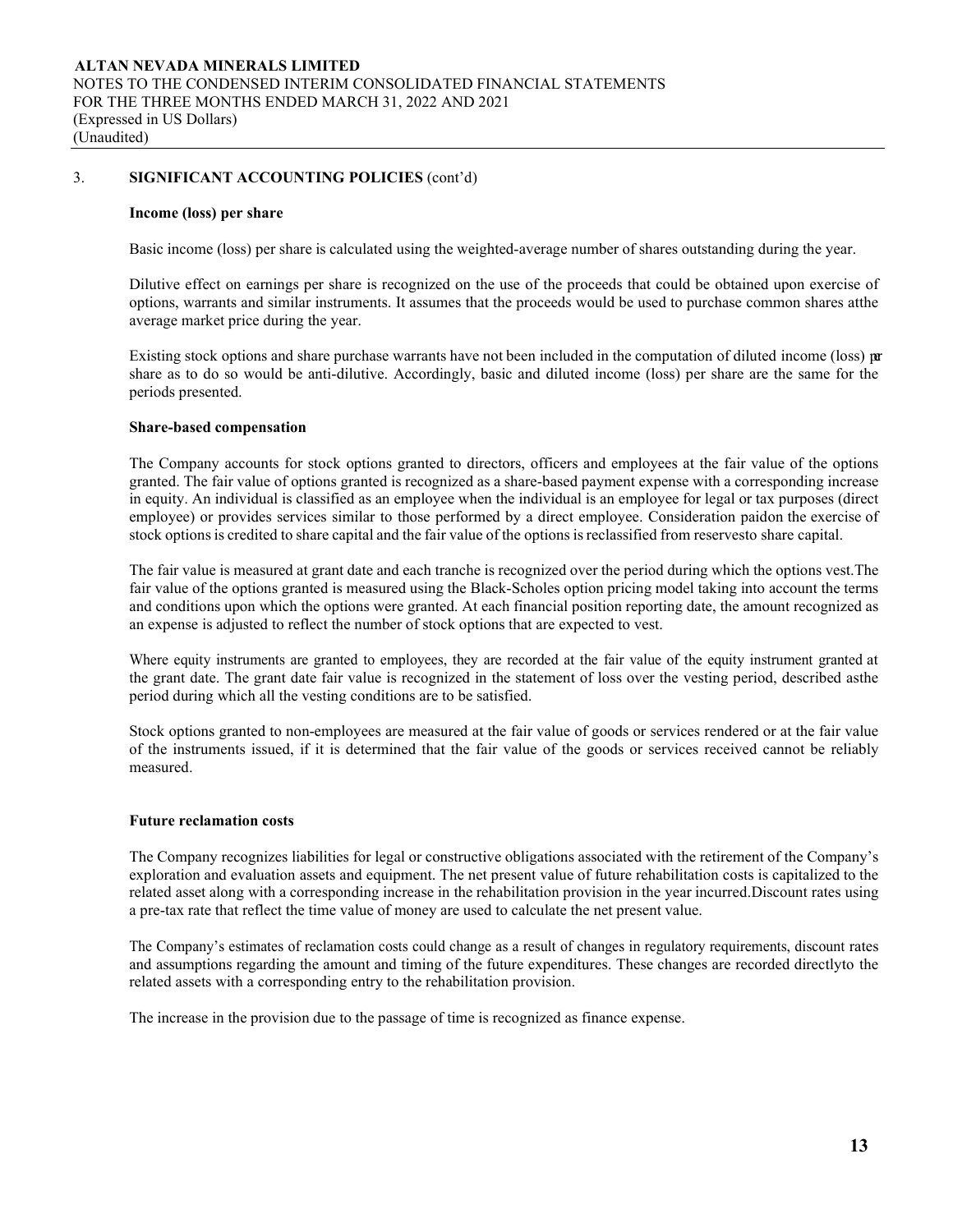#### **Income (loss) per share**

Basic income (loss) per share is calculated using the weighted-average number of shares outstanding during the year.

Dilutive effect on earnings per share is recognized on the use of the proceeds that could be obtained upon exercise of options, warrants and similar instruments. It assumes that the proceeds would be used to purchase common shares atthe average market price during the year.

Existing stock options and share purchase warrants have not been included in the computation of diluted income (loss) per share as to do so would be anti-dilutive. Accordingly, basic and diluted income (loss) per share are the same for the periods presented.

#### **Share-based compensation**

The Company accounts for stock options granted to directors, officers and employees at the fair value of the options granted. The fair value of options granted is recognized as a share-based payment expense with a corresponding increase in equity. An individual is classified as an employee when the individual is an employee for legal or tax purposes (direct employee) or provides services similar to those performed by a direct employee. Consideration paidon the exercise of stock options is credited to share capital and the fair value of the options is reclassified from reservesto share capital.

The fair value is measured at grant date and each tranche is recognized over the period during which the options vest.The fair value of the options granted is measured using the Black-Scholes option pricing model taking into account the terms and conditions upon which the options were granted. At each financial position reporting date, the amount recognized as an expense is adjusted to reflect the number of stock options that are expected to vest.

Where equity instruments are granted to employees, they are recorded at the fair value of the equity instrument granted at the grant date. The grant date fair value is recognized in the statement of loss over the vesting period, described asthe period during which all the vesting conditions are to be satisfied.

Stock options granted to non-employees are measured at the fair value of goods or services rendered or at the fair value of the instruments issued, if it is determined that the fair value of the goods or services received cannot be reliably measured.

#### **Future reclamation costs**

The Company recognizes liabilities for legal or constructive obligations associated with the retirement of the Company's exploration and evaluation assets and equipment. The net present value of future rehabilitation costs is capitalized to the related asset along with a corresponding increase in the rehabilitation provision in the year incurred.Discount rates using a pre-tax rate that reflect the time value of money are used to calculate the net present value.

The Company's estimates of reclamation costs could change as a result of changes in regulatory requirements, discount rates and assumptions regarding the amount and timing of the future expenditures. These changes are recorded directlyto the related assets with a corresponding entry to the rehabilitation provision.

The increase in the provision due to the passage of time is recognized as finance expense.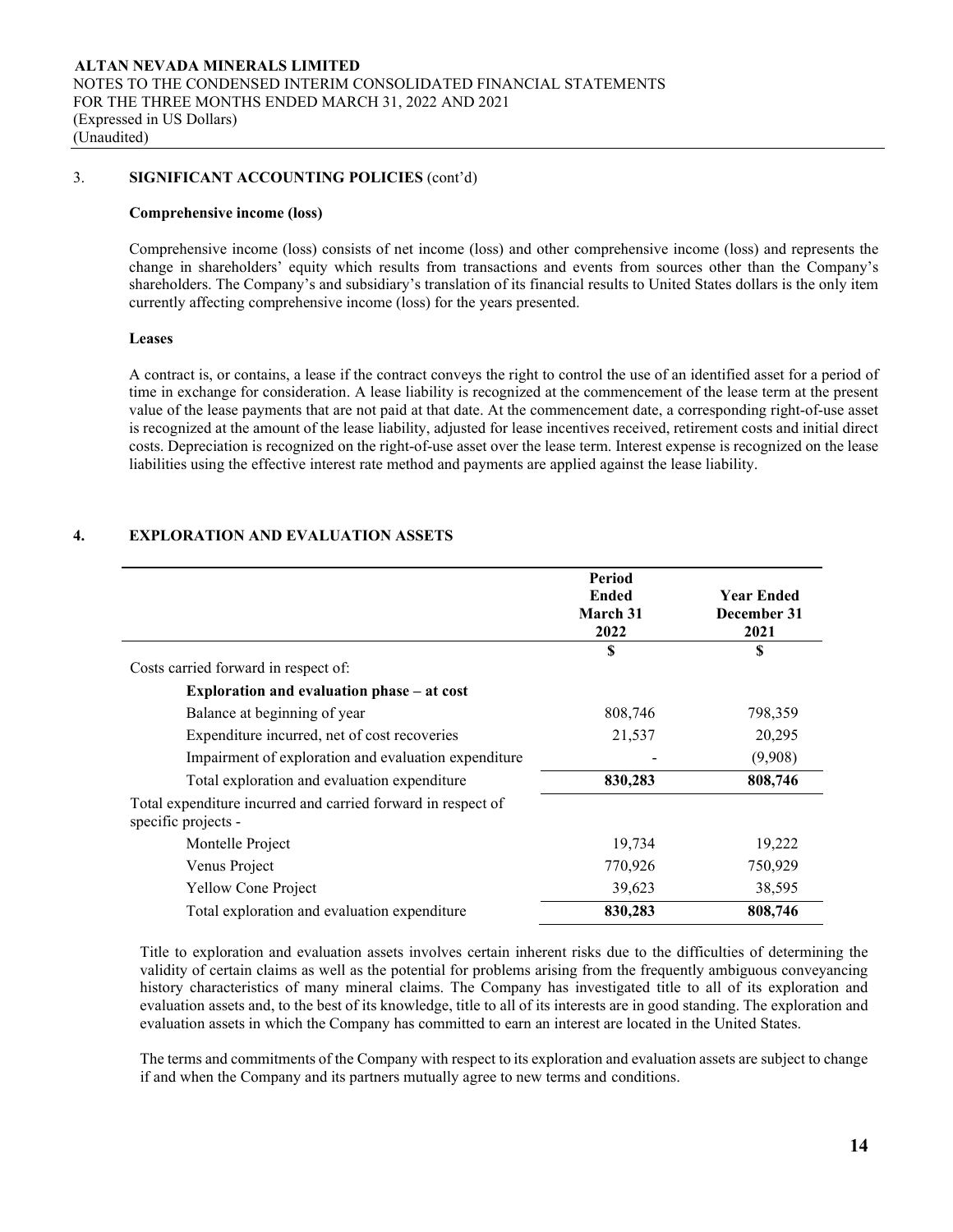#### **Comprehensive income (loss)**

Comprehensive income (loss) consists of net income (loss) and other comprehensive income (loss) and represents the change in shareholders' equity which results from transactions and events from sources other than the Company's shareholders. The Company's and subsidiary's translation of its financial results to United States dollars is the only item currently affecting comprehensive income (loss) for the years presented.

#### **Leases**

A contract is, or contains, a lease if the contract conveys the right to control the use of an identified asset for a period of time in exchange for consideration. A lease liability is recognized at the commencement of the lease term at the present value of the lease payments that are not paid at that date. At the commencement date, a corresponding right-of-use asset is recognized at the amount of the lease liability, adjusted for lease incentives received, retirement costs and initial direct costs. Depreciation is recognized on the right-of-use asset over the lease term. Interest expense is recognized on the lease liabilities using the effective interest rate method and payments are applied against the lease liability.

# **4. EXPLORATION AND EVALUATION ASSETS**

|                                                              | Period<br><b>Ended</b><br>March 31<br>2022 | <b>Year Ended</b><br>December 31<br>2021 |
|--------------------------------------------------------------|--------------------------------------------|------------------------------------------|
|                                                              | S                                          | S                                        |
| Costs carried forward in respect of:                         |                                            |                                          |
| Exploration and evaluation phase – at cost                   |                                            |                                          |
| Balance at beginning of year                                 | 808,746                                    | 798,359                                  |
| Expenditure incurred, net of cost recoveries                 | 21,537                                     | 20,295                                   |
| Impairment of exploration and evaluation expenditure         |                                            | (9,908)                                  |
| Total exploration and evaluation expenditure                 | 830,283                                    | 808,746                                  |
| Total expenditure incurred and carried forward in respect of |                                            |                                          |
| specific projects -                                          |                                            |                                          |
| Montelle Project                                             | 19,734                                     | 19,222                                   |
| Venus Project                                                | 770,926                                    | 750,929                                  |
| <b>Yellow Cone Project</b>                                   | 39,623                                     | 38,595                                   |
| Total exploration and evaluation expenditure                 | 830,283                                    | 808,746                                  |

Title to exploration and evaluation assets involves certain inherent risks due to the difficulties of determining the validity of certain claims as well as the potential for problems arising from the frequently ambiguous conveyancing history characteristics of many mineral claims. The Company has investigated title to all of its exploration and evaluation assets and, to the best of its knowledge, title to all of its interests are in good standing. The exploration and evaluation assets in which the Company has committed to earn an interest are located in the United States.

The terms and commitments of the Company with respect to its exploration and evaluation assets are subject to change if and when the Company and its partners mutually agree to new terms and conditions.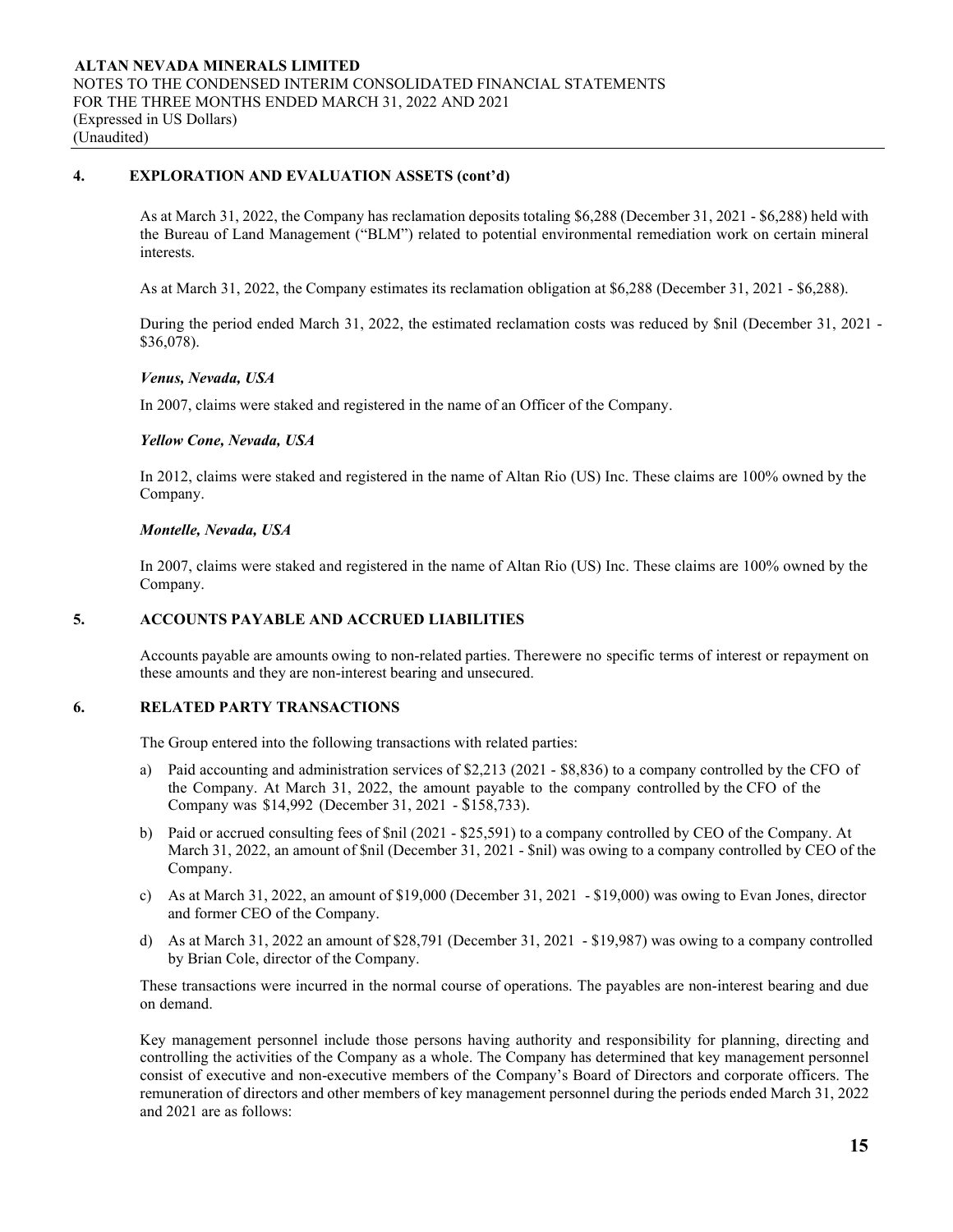# **4. EXPLORATION AND EVALUATION ASSETS (cont'd)**

As at March 31, 2022, the Company has reclamation deposits totaling \$6,288 (December 31, 2021 - \$6,288) held with the Bureau of Land Management ("BLM") related to potential environmental remediation work on certain mineral interests.

As at March 31, 2022, the Company estimates its reclamation obligation at \$6,288 (December 31, 2021 - \$6,288).

During the period ended March 31, 2022, the estimated reclamation costs was reduced by \$nil (December 31, 2021 - \$36,078).

## *Venus, Nevada, USA*

In 2007, claims were staked and registered in the name of an Officer of the Company.

## *Yellow Cone, Nevada, USA*

In 2012, claims were staked and registered in the name of Altan Rio (US) Inc. These claims are 100% owned by the Company.

## *Montelle, Nevada, USA*

In 2007, claims were staked and registered in the name of Altan Rio (US) Inc. These claims are 100% owned by the Company.

## **5. ACCOUNTS PAYABLE AND ACCRUED LIABILITIES**

Accounts payable are amounts owing to non-related parties. There were no specific terms of interest or repayment on these amounts and they are non-interest bearing and unsecured.

# **6. RELATED PARTY TRANSACTIONS**

The Group entered into the following transactions with related parties:

- a) Paid accounting and administration services of \$2,213 (2021 \$8,836) to a company controlled by the CFO of the Company. At March 31, 2022, the amount payable to the company controlled by the CFO of the Company was \$14,992 (December 31, 2021 - \$158,733).
- b) Paid or accrued consulting fees of \$nil (2021 \$25,591) to a company controlled by CEO of the Company. At March 31, 2022, an amount of \$nil (December 31, 2021 - \$nil) was owing to a company controlled by CEO of the Company.
- c) As at March 31, 2022, an amount of \$19,000 (December 31, 2021 \$19,000) was owing to Evan Jones, director and former CEO of the Company.
- d) As at March 31, 2022 an amount of \$28,791 (December 31, 2021 \$19,987) was owing to a company controlled by Brian Cole, director of the Company.

These transactions were incurred in the normal course of operations. The payables are non-interest bearing and due on demand.

Key management personnel include those persons having authority and responsibility for planning, directing and controlling the activities of the Company as a whole. The Company has determined that key management personnel consist of executive and non-executive members of the Company's Board of Directors and corporate officers. The remuneration of directors and other members of key management personnel during the periods ended March 31, 2022 and 2021 are as follows: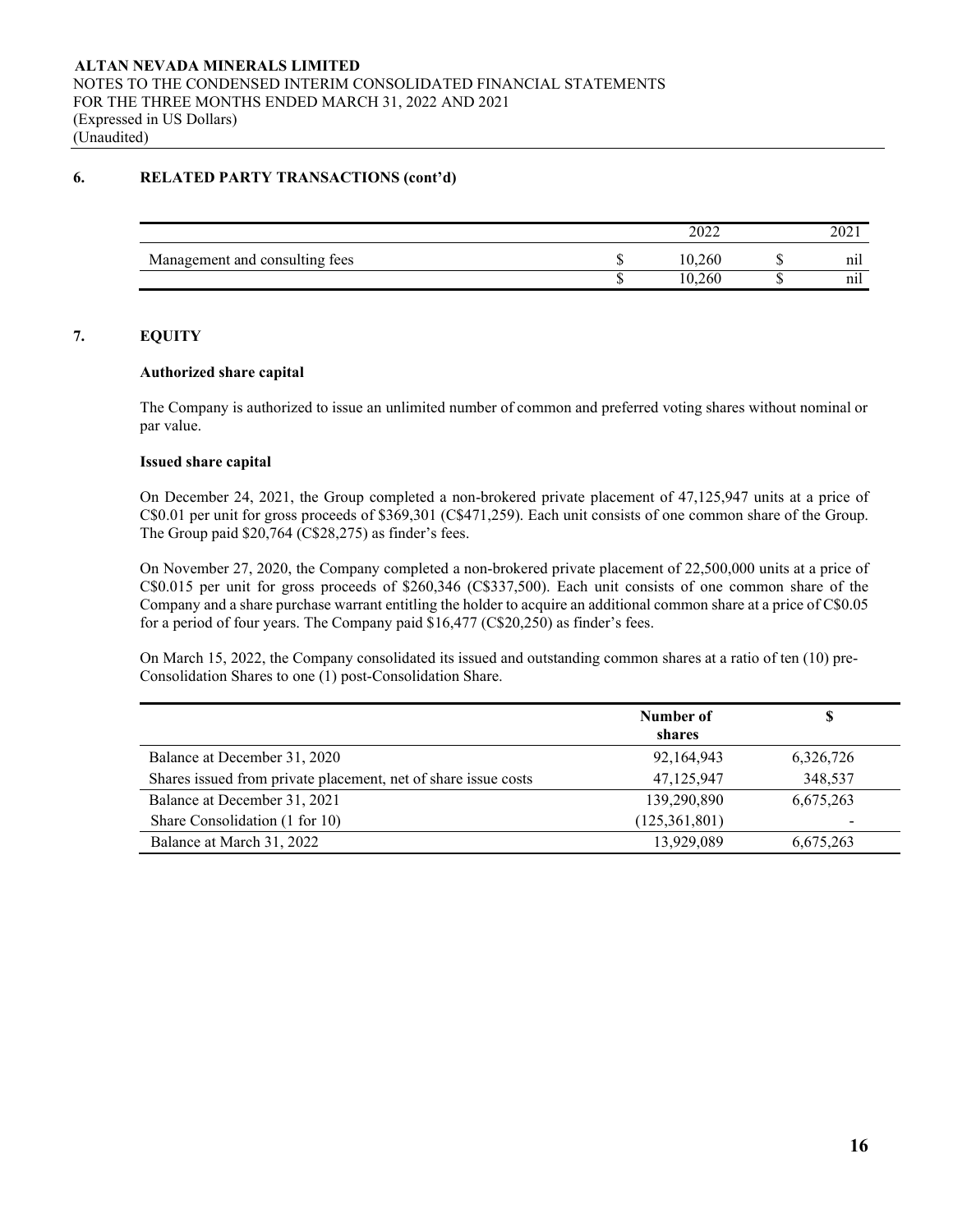# **6. RELATED PARTY TRANSACTIONS (cont'd)**

|                                | nooc<br>∠∪∠∠ | $\mathcal{D} \cap \mathcal{D}$<br>ZUZ 1 |
|--------------------------------|--------------|-----------------------------------------|
| Management and consulting fees | 10,260       | nıl                                     |
|                                | 10.260       | nıl                                     |

# **7. EQUITY**

## **Authorized share capital**

The Company is authorized to issue an unlimited number of common and preferred voting shares without nominal or par value.

## **Issued share capital**

On December 24, 2021, the Group completed a non-brokered private placement of 47,125,947 units at a price of C\$0.01 per unit for gross proceeds of \$369,301 (C\$471,259). Each unit consists of one common share of the Group. The Group paid \$20,764 (C\$28,275) as finder's fees.

On November 27, 2020, the Company completed a non-brokered private placement of 22,500,000 units at a price of C\$0.015 per unit for gross proceeds of \$260,346 (C\$337,500). Each unit consists of one common share of the Company and a share purchase warrant entitling the holder to acquire an additional common share at a price of C\$0.05 for a period of four years. The Company paid \$16,477 (C\$20,250) as finder's fees.

On March 15, 2022, the Company consolidated its issued and outstanding common shares at a ratio of ten (10) pre-Consolidation Shares to one (1) post-Consolidation Share.

|                                                                | Number of<br>shares | \$        |
|----------------------------------------------------------------|---------------------|-----------|
| Balance at December 31, 2020                                   | 92,164,943          | 6,326,726 |
| Shares issued from private placement, net of share issue costs | 47,125,947          | 348,537   |
| Balance at December 31, 2021                                   | 139,290,890         | 6,675,263 |
| Share Consolidation (1 for 10)                                 | (125, 361, 801)     |           |
| Balance at March 31, 2022                                      | 13,929,089          | 6,675,263 |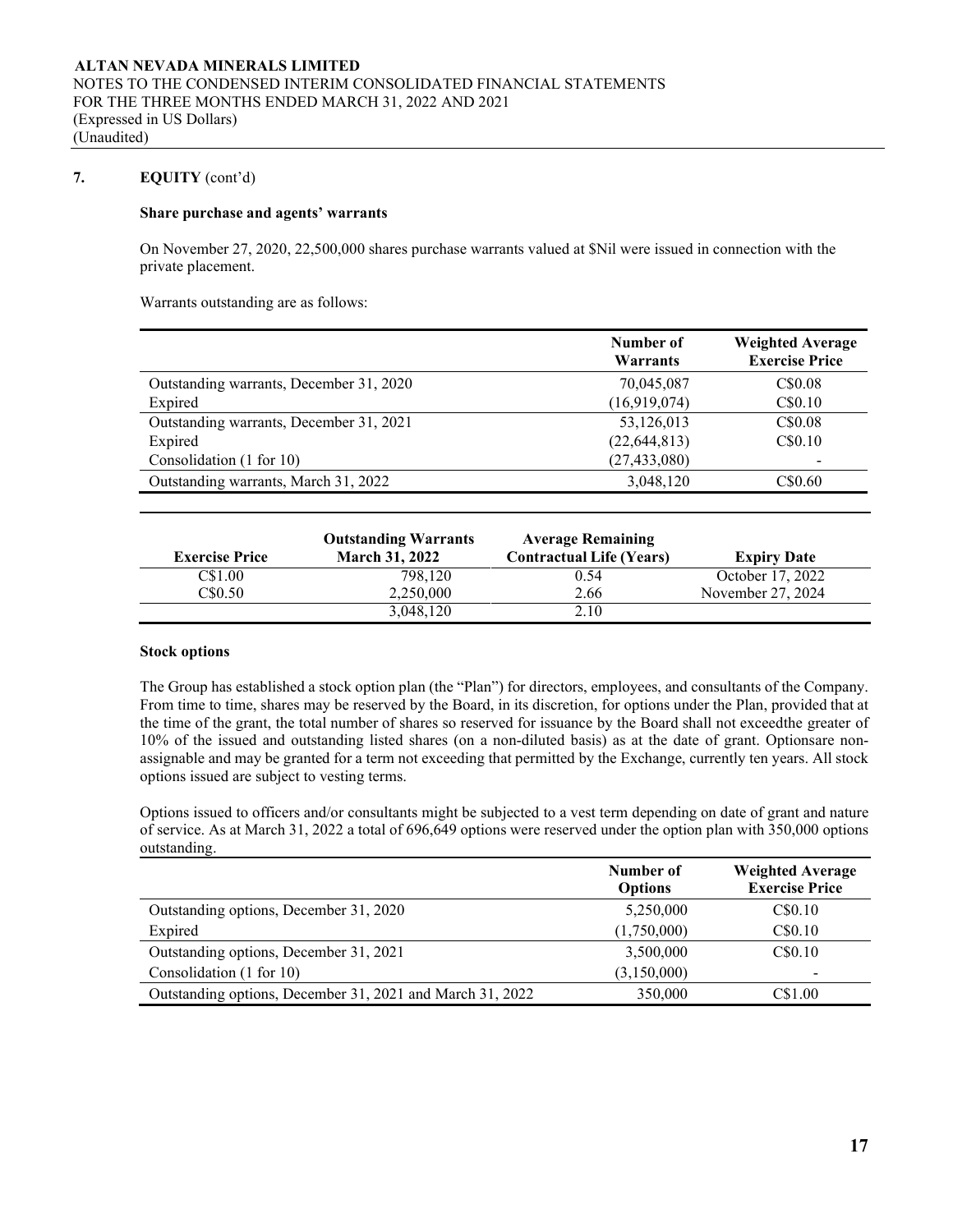# **7. EQUITY** (cont'd)

## **Share purchase and agents' warrants**

On November 27, 2020, 22,500,000 shares purchase warrants valued at \$Nil were issued in connection with the private placement.

Warrants outstanding are as follows:

|                                         | Number of<br>Warrants | <b>Weighted Average</b><br><b>Exercise Price</b> |
|-----------------------------------------|-----------------------|--------------------------------------------------|
| Outstanding warrants, December 31, 2020 | 70,045,087            | C\$0.08                                          |
| Expired                                 | (16,919,074)          | C\$0.10                                          |
| Outstanding warrants, December 31, 2021 | 53,126,013            | C\$0.08                                          |
| Expired                                 | (22, 644, 813)        | C\$0.10                                          |
| Consolidation (1 for 10)                | (27, 433, 080)        |                                                  |
| Outstanding warrants, March 31, 2022    | 3,048,120             | C\$0.60                                          |

| <b>Exercise Price</b> | <b>Outstanding Warrants</b><br><b>March 31, 2022</b> | <b>Average Remaining</b><br><b>Contractual Life (Years)</b> | <b>Expiry Date</b> |
|-----------------------|------------------------------------------------------|-------------------------------------------------------------|--------------------|
| C\$1.00               | 798,120                                              | 0.54                                                        | October 17, 2022   |
| C\$0.50               | 2.250,000                                            | 2.66                                                        | November 27, 2024  |
|                       | 3,048,120                                            | 2.10                                                        |                    |

#### **Stock options**

The Group has established a stock option plan (the "Plan") for directors, employees, and consultants of the Company. From time to time, shares may be reserved by the Board, in its discretion, for options under the Plan, provided that at the time of the grant, the total number of shares so reserved for issuance by the Board shall not exceedthe greater of 10% of the issued and outstanding listed shares (on a non-diluted basis) as at the date of grant. Optionsare nonassignable and may be granted for a term not exceeding that permitted by the Exchange, currently ten years. All stock options issued are subject to vesting terms.

Options issued to officers and/or consultants might be subjected to a vest term depending on date of grant and nature of service. As at March 31, 2022 a total of 696,649 options were reserved under the option plan with 350,000 options outstanding.

|                                                           | Number of<br><b>Options</b> | <b>Weighted Average</b><br><b>Exercise Price</b> |
|-----------------------------------------------------------|-----------------------------|--------------------------------------------------|
| Outstanding options, December 31, 2020                    | 5,250,000                   | C\$0.10                                          |
| Expired                                                   | (1,750,000)                 | C\$0.10                                          |
| Outstanding options, December 31, 2021                    | 3,500,000                   | C\$0.10                                          |
| Consolidation (1 for 10)                                  | (3,150,000)                 |                                                  |
| Outstanding options, December 31, 2021 and March 31, 2022 | 350,000                     | C\$1.00                                          |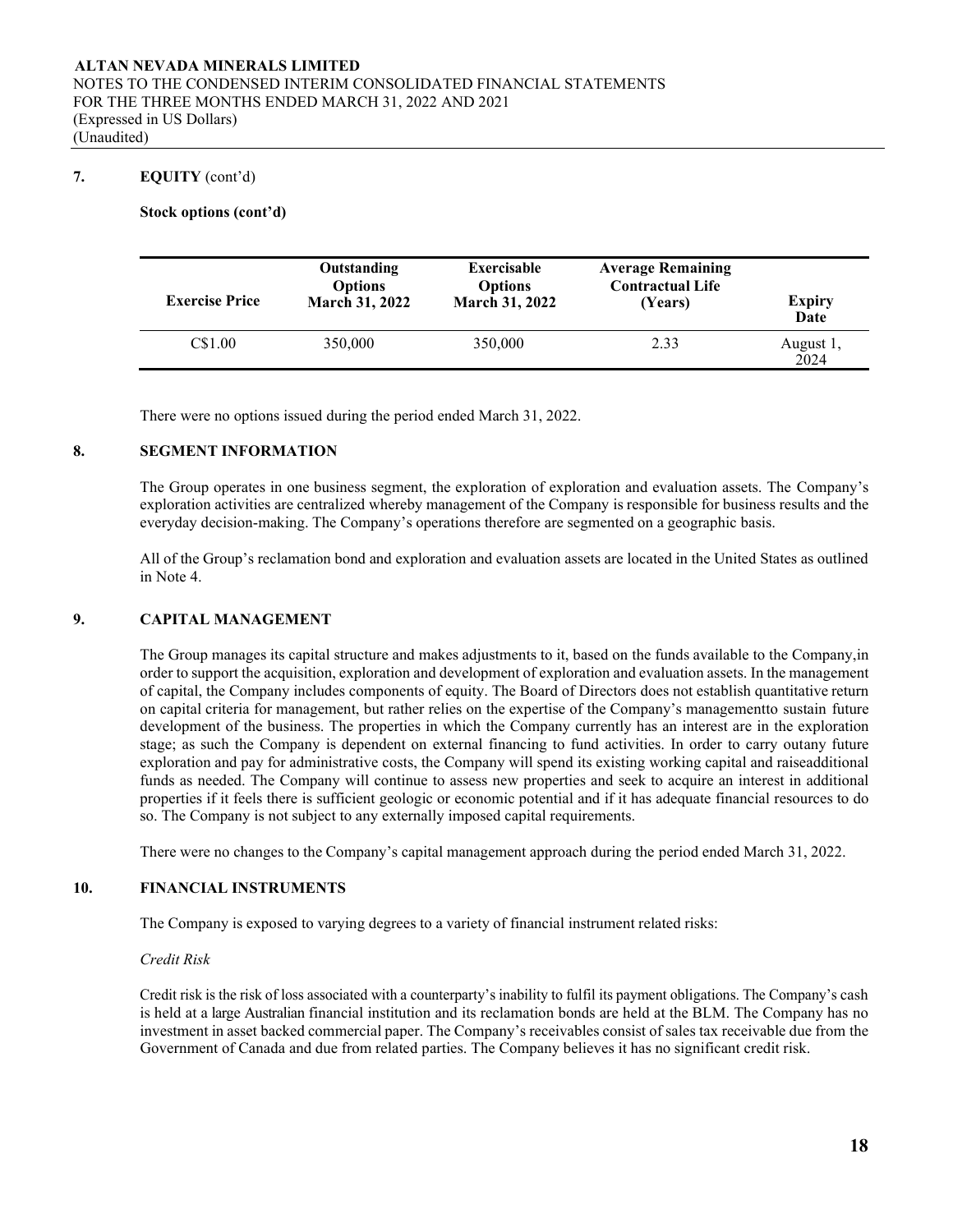## **7. EQUITY** (cont'd)

### **Stock options (cont'd)**

| <b>Exercise Price</b> | Outstanding<br><b>Options</b><br><b>March 31, 2022</b> | <b>Exercisable</b><br><b>Options</b><br><b>March 31, 2022</b> | <b>Average Remaining</b><br><b>Contractual Life</b><br>(Years) | <b>Expiry</b><br>Date |
|-----------------------|--------------------------------------------------------|---------------------------------------------------------------|----------------------------------------------------------------|-----------------------|
| C\$1.00               | 350,000                                                | 350,000                                                       | 2.33                                                           | August 1,<br>2024     |

There were no options issued during the period ended March 31, 2022.

#### **8. SEGMENT INFORMATION**

The Group operates in one business segment, the exploration of exploration and evaluation assets. The Company's exploration activities are centralized whereby management of the Company is responsible for business results and the everyday decision-making. The Company's operations therefore are segmented on a geographic basis.

All of the Group's reclamation bond and exploration and evaluation assets are located in the United States as outlined in Note 4.

### **9. CAPITAL MANAGEMENT**

The Group manages its capital structure and makes adjustments to it, based on the funds available to the Company,in order to support the acquisition, exploration and development of exploration and evaluation assets. In the management of capital, the Company includes components of equity. The Board of Directors does not establish quantitative return on capital criteria for management, but rather relies on the expertise of the Company's managementto sustain future development of the business. The properties in which the Company currently has an interest are in the exploration stage; as such the Company is dependent on external financing to fund activities. In order to carry outany future exploration and pay for administrative costs, the Company will spend its existing working capital and raiseadditional funds as needed. The Company will continue to assess new properties and seek to acquire an interest in additional properties if it feels there is sufficient geologic or economic potential and if it has adequate financial resources to do so. The Company is not subject to any externally imposed capital requirements.

There were no changes to the Company's capital management approach during the period ended March 31, 2022.

#### **10. FINANCIAL INSTRUMENTS**

The Company is exposed to varying degrees to a variety of financial instrument related risks:

#### *Credit Risk*

Credit risk is the risk of loss associated with a counterparty's inability to fulfil its payment obligations. The Company's cash is held at a large Australian financial institution and its reclamation bonds are held at the BLM. The Company has no investment in asset backed commercial paper. The Company's receivables consist of sales tax receivable due from the Government of Canada and due from related parties. The Company believes it has no significant credit risk.